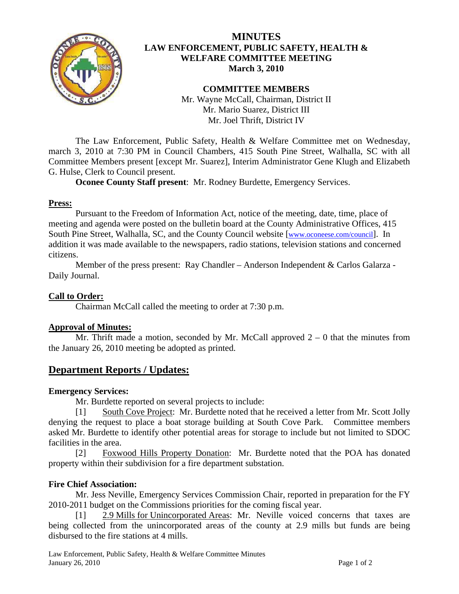

## **MINUTES LAW ENFORCEMENT, PUBLIC SAFETY, HEALTH & WELFARE COMMITTEE MEETING March 3, 2010**

**COMMITTEE MEMBERS**  Mr. Wayne McCall, Chairman, District II Mr. Mario Suarez, District III Mr. Joel Thrift, District IV

 The Law Enforcement, Public Safety, Health & Welfare Committee met on Wednesday, march 3, 2010 at 7:30 PM in Council Chambers, 415 South Pine Street, Walhalla, SC with all Committee Members present [except Mr. Suarez], Interim Administrator Gene Klugh and Elizabeth G. Hulse, Clerk to Council present.

**Oconee County Staff present**: Mr. Rodney Burdette, Emergency Services.

## **Press:**

 Pursuant to the Freedom of Information Act, notice of the meeting, date, time, place of meeting and agenda were posted on the bulletin board at the County Administrative Offices, 415 South Pine Street, Walhalla, SC, and the County Council website [\[www.oconeese.com/council\]](http://www.oconeese.com/council). In addition it was made available to the newspapers, radio stations, television stations and concerned citizens.

Member of the press present: Ray Chandler – Anderson Independent & Carlos Galarza - Daily Journal.

## **Call to Order:**

Chairman McCall called the meeting to order at 7:30 p.m.

## **Approval of Minutes:**

Mr. Thrift made a motion, seconded by Mr. McCall approved  $2 - 0$  that the minutes from the January 26, 2010 meeting be adopted as printed.

# **Department Reports / Updates:**

### **Emergency Services:**

Mr. Burdette reported on several projects to include:

 [1] South Cove Project: Mr. Burdette noted that he received a letter from Mr. Scott Jolly denying the request to place a boat storage building at South Cove Park. Committee members asked Mr. Burdette to identify other potential areas for storage to include but not limited to SDOC facilities in the area.

 [2] Foxwood Hills Property Donation: Mr. Burdette noted that the POA has donated property within their subdivision for a fire department substation.

## **Fire Chief Association:**

 Mr. Jess Neville, Emergency Services Commission Chair, reported in preparation for the FY 2010-2011 budget on the Commissions priorities for the coming fiscal year.

 [1] 2.9 Mills for Unincorporated Areas: Mr. Neville voiced concerns that taxes are being collected from the unincorporated areas of the county at 2.9 mills but funds are being disbursed to the fire stations at 4 mills.